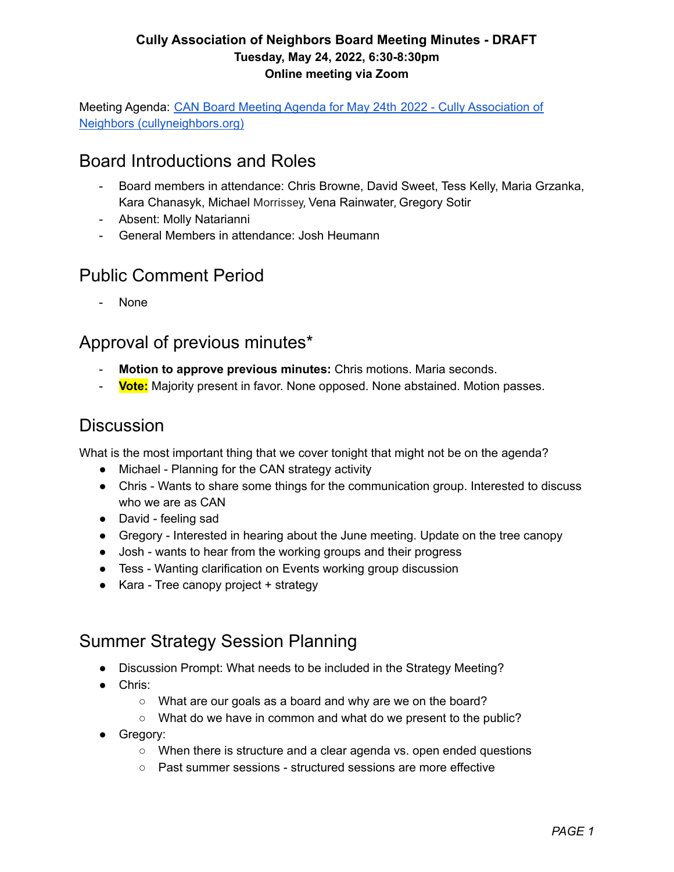Meeting Agenda: CAN Board Meeting Agenda for May 24th 2022 - Cully [Association](http://www.cullyneighbors.org/can-board-meeting-agenda-for-may-24th-2022/) of Neighbors [\(cullyneighbors.org\)](http://www.cullyneighbors.org/can-board-meeting-agenda-for-may-24th-2022/)

## Board Introductions and Roles

- Board members in attendance: Chris Browne, David Sweet, Tess Kelly, Maria Grzanka, Kara Chanasyk, Michael Morrissey, Vena Rainwater, Gregory Sotir
- Absent: Molly Natarianni
- General Members in attendance: Josh Heumann

## Public Comment Period

- None

### Approval of previous minutes\*

- **Motion to approve previous minutes:** Chris motions. Maria seconds.
- **Vote:** Majority present in favor. None opposed. None abstained. Motion passes.

## **Discussion**

What is the most important thing that we cover tonight that might not be on the agenda?

- Michael Planning for the CAN strategy activity
- Chris Wants to share some things for the communication group. Interested to discuss who we are as CAN
- David feeling sad
- Gregory Interested in hearing about the June meeting. Update on the tree canopy
- Josh wants to hear from the working groups and their progress
- Tess Wanting clarification on Events working group discussion
- Kara Tree canopy project + strategy

# Summer Strategy Session Planning

- Discussion Prompt: What needs to be included in the Strategy Meeting?
- Chris:
	- What are our goals as a board and why are we on the board?
	- What do we have in common and what do we present to the public?
- Gregory:
	- When there is structure and a clear agenda vs. open ended questions
	- Past summer sessions structured sessions are more effective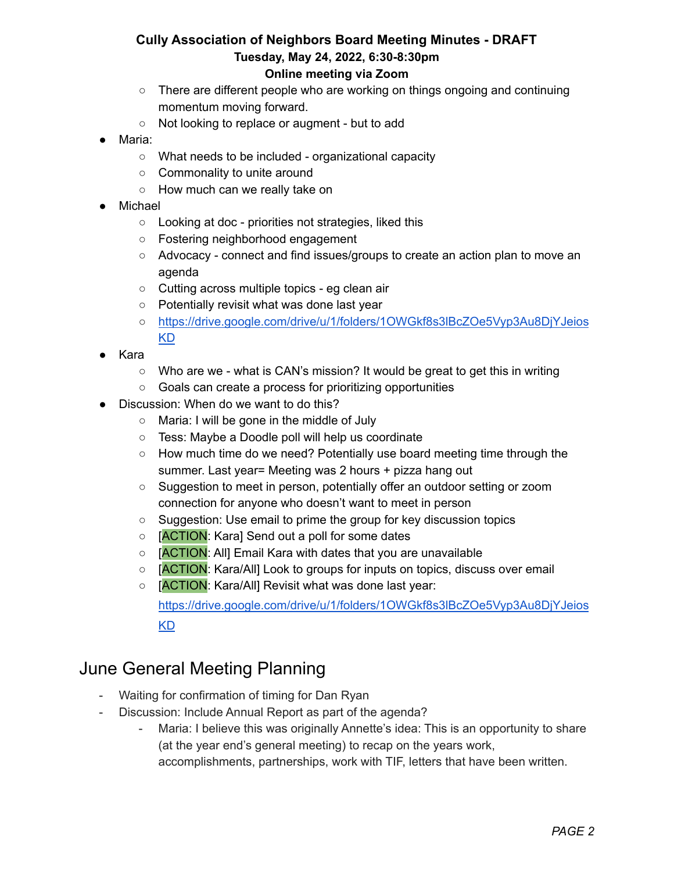# **Cully Association of Neighbors Board Meeting Minutes - DRAFT Tuesday, May 24, 2022, 6:30-8:30pm**

- **Online meeting via Zoom**
- There are different people who are working on things ongoing and continuing momentum moving forward.
- Not looking to replace or augment but to add
- Maria:
	- What needs to be included organizational capacity
	- Commonality to unite around
	- How much can we really take on
- Michael
	- Looking at doc priorities not strategies, liked this
	- Fostering neighborhood engagement
	- Advocacy connect and find issues/groups to create an action plan to move an agenda
	- Cutting across multiple topics eg clean air
	- Potentially revisit what was done last year
	- [https://drive.google.com/drive/u/1/folders/1OWGkf8s3lBcZOe5Vyp3Au8DjYJeios](https://drive.google.com/drive/u/1/folders/1OWGkf8s3lBcZOe5Vyp3Au8DjYJeiosKD) [KD](https://drive.google.com/drive/u/1/folders/1OWGkf8s3lBcZOe5Vyp3Au8DjYJeiosKD)
- Kara
	- $\circ$  Who are we what is CAN's mission? It would be great to get this in writing
	- Goals can create a process for prioritizing opportunities
- Discussion: When do we want to do this?
	- Maria: I will be gone in the middle of July
	- Tess: Maybe a Doodle poll will help us coordinate
	- How much time do we need? Potentially use board meeting time through the summer. Last year= Meeting was 2 hours + pizza hang out
	- Suggestion to meet in person, potentially offer an outdoor setting or zoom connection for anyone who doesn't want to meet in person
	- Suggestion: Use email to prime the group for key discussion topics
	- [ACTION: Kara] Send out a poll for some dates
	- [ACTION: All] Email Kara with dates that you are unavailable
	- [ACTION: Kara/All] Look to groups for inputs on topics, discuss over email
	- [ACTION: Kara/All] Revisit what was done last year:

[https://drive.google.com/drive/u/1/folders/1OWGkf8s3lBcZOe5Vyp3Au8DjYJeios](https://drive.google.com/drive/u/1/folders/1OWGkf8s3lBcZOe5Vyp3Au8DjYJeiosKD) [KD](https://drive.google.com/drive/u/1/folders/1OWGkf8s3lBcZOe5Vyp3Au8DjYJeiosKD)

### June General Meeting Planning

- Waiting for confirmation of timing for Dan Ryan
- Discussion: Include Annual Report as part of the agenda?
	- Maria: I believe this was originally Annette's idea: This is an opportunity to share (at the year end's general meeting) to recap on the years work, accomplishments, partnerships, work with TIF, letters that have been written.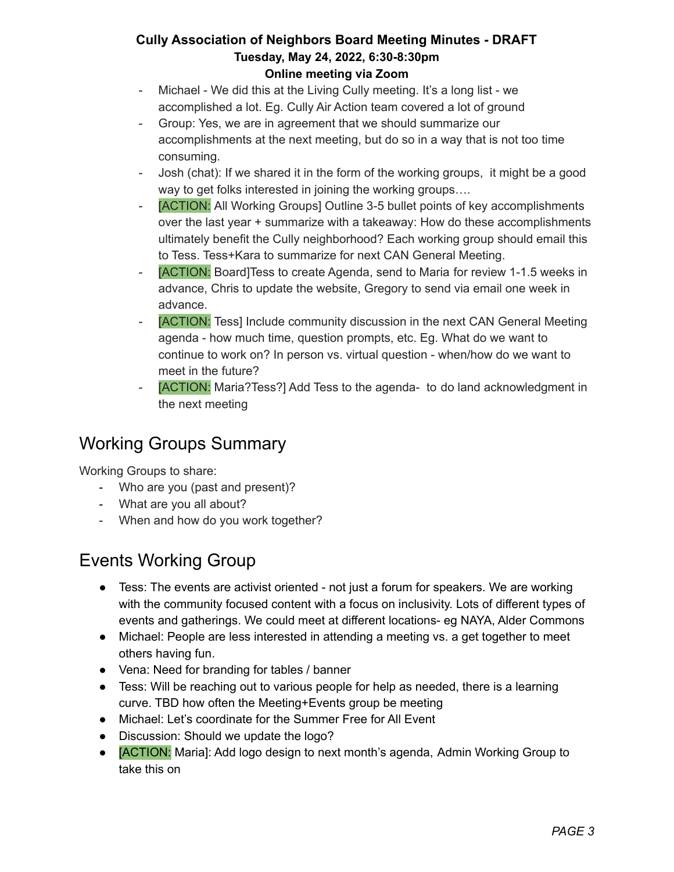- Michael We did this at the Living Cully meeting. It's a long list we accomplished a lot. Eg. Cully Air Action team covered a lot of ground
- Group: Yes, we are in agreement that we should summarize our accomplishments at the next meeting, but do so in a way that is not too time consuming.
- Josh (chat): If we shared it in the form of the working groups, it might be a good way to get folks interested in joining the working groups....
- [ACTION: All Working Groups] Outline 3-5 bullet points of key accomplishments over the last year + summarize with a takeaway: How do these accomplishments ultimately benefit the Cully neighborhood? Each working group should email this to Tess. Tess+Kara to summarize for next CAN General Meeting.
- [ACTION: Board]Tess to create Agenda, send to Maria for review 1-1.5 weeks in advance, Chris to update the website, Gregory to send via email one week in advance.
- [ACTION: Tess] Include community discussion in the next CAN General Meeting agenda - how much time, question prompts, etc. Eg. What do we want to continue to work on? In person vs. virtual question - when/how do we want to meet in the future?
- [ACTION: Maria?Tess?] Add Tess to the agenda- to do land acknowledgment in the next meeting

## Working Groups Summary

Working Groups to share:

- Who are you (past and present)?
- What are you all about?
- When and how do you work together?

# Events Working Group

- Tess: The events are activist oriented not just a forum for speakers. We are working with the community focused content with a focus on inclusivity. Lots of different types of events and gatherings. We could meet at different locations- eg NAYA, Alder Commons
- Michael: People are less interested in attending a meeting vs. a get together to meet others having fun.
- Vena: Need for branding for tables / banner
- Tess: Will be reaching out to various people for help as needed, there is a learning curve. TBD how often the Meeting+Events group be meeting
- Michael: Let's coordinate for the Summer Free for All Event
- Discussion: Should we update the logo?
- **[ACTION:** Maria]: Add logo design to next month's agenda, Admin Working Group to take this on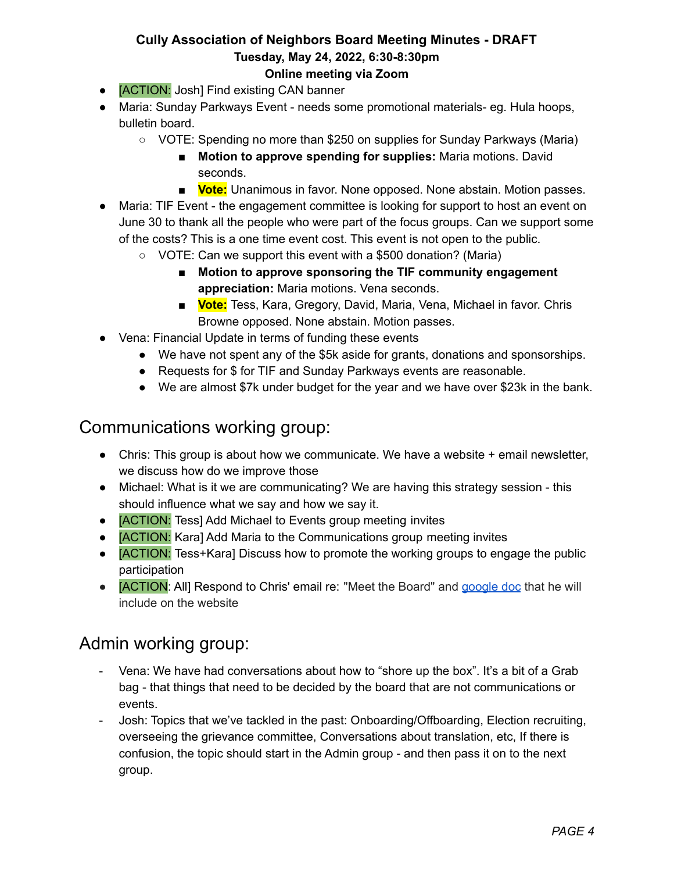- **[ACTION:** Josh] Find existing CAN banner
- Maria: Sunday Parkways Event needs some promotional materials- eg. Hula hoops, bulletin board.
	- VOTE: Spending no more than \$250 on supplies for Sunday Parkways (Maria)
		- **Motion to approve spending for supplies:** Maria motions. David seconds.
		- **Vote:** Unanimous in favor. None opposed. None abstain. Motion passes.
- Maria: TIF Event the engagement committee is looking for support to host an event on June 30 to thank all the people who were part of the focus groups. Can we support some of the costs? This is a one time event cost. This event is not open to the public.
	- VOTE: Can we support this event with a \$500 donation? (Maria)
		- **Motion to approve sponsoring the TIF community engagement appreciation:** Maria motions. Vena seconds.
		- **Vote:** Tess, Kara, Gregory, David, Maria, Vena, Michael in favor. Chris Browne opposed. None abstain. Motion passes.
- Vena: Financial Update in terms of funding these events
	- We have not spent any of the \$5k aside for grants, donations and sponsorships.
	- Requests for \$ for TIF and Sunday Parkways events are reasonable.
	- We are almost \$7k under budget for the year and we have over \$23k in the bank.

### Communications working group:

- Chris: This group is about how we communicate. We have a website + email newsletter, we discuss how do we improve those
- Michael: What is it we are communicating? We are having this strategy session this should influence what we say and how we say it.
- **[ACTION:** Tess] Add Michael to Events group meeting invites
- **[ACTION:** Kara] Add Maria to the Communications group meeting invites
- **[ACTION:** Tess+Kara] Discuss how to promote the working groups to engage the public participation
- **[ACTION: All] Respond to Chris' email re: "Meet the Board" and [google](https://docs.google.com/document/d/1cKdEMPR5TvWGKUPEbHmCh-WKeuN2G7Dv/edit) doc that he will** include on the website

### Admin working group:

- Vena: We have had conversations about how to "shore up the box". It's a bit of a Grab bag - that things that need to be decided by the board that are not communications or events.
- Josh: Topics that we've tackled in the past: Onboarding/Offboarding, Election recruiting, overseeing the grievance committee, Conversations about translation, etc, If there is confusion, the topic should start in the Admin group - and then pass it on to the next group.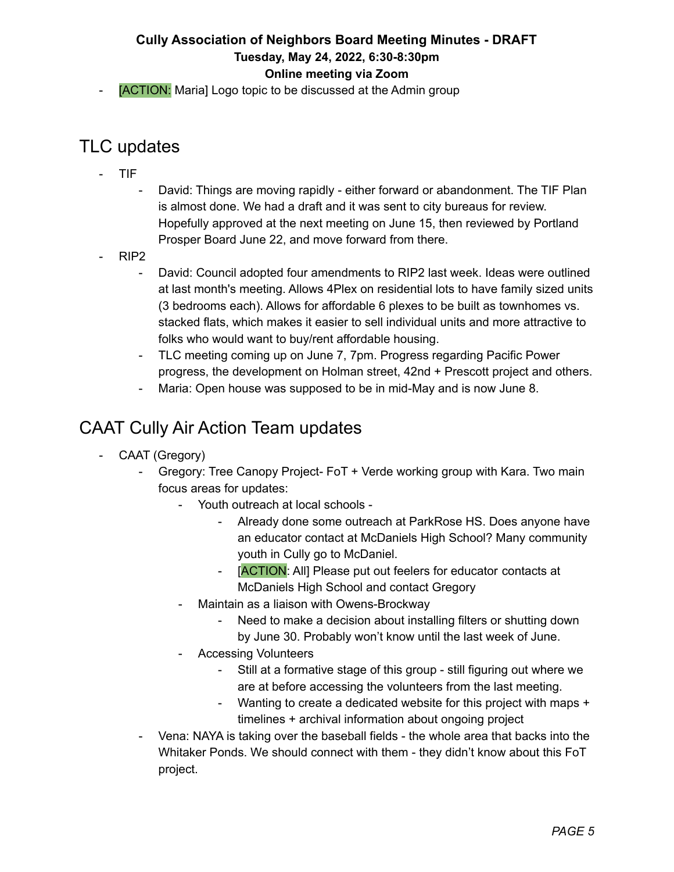[ACTION: Maria] Logo topic to be discussed at the Admin group

### TLC updates

- TIF
	- David: Things are moving rapidly either forward or abandonment. The TIF Plan is almost done. We had a draft and it was sent to city bureaus for review. Hopefully approved at the next meeting on June 15, then reviewed by Portland Prosper Board June 22, and move forward from there.
- RIP2
	- David: Council adopted four amendments to RIP2 last week. Ideas were outlined at last month's meeting. Allows 4Plex on residential lots to have family sized units (3 bedrooms each). Allows for affordable 6 plexes to be built as townhomes vs. stacked flats, which makes it easier to sell individual units and more attractive to folks who would want to buy/rent affordable housing.
	- TLC meeting coming up on June 7, 7pm. Progress regarding Pacific Power progress, the development on Holman street, 42nd + Prescott project and others.
	- Maria: Open house was supposed to be in mid-May and is now June 8.

## CAAT Cully Air Action Team updates

- CAAT (Gregory)
	- Gregory: Tree Canopy Project- FoT + Verde working group with Kara. Two main focus areas for updates:
		- Youth outreach at local schools
			- Already done some outreach at ParkRose HS. Does anyone have an educator contact at McDaniels High School? Many community youth in Cully go to McDaniel.
			- [ACTION: All] Please put out feelers for educator contacts at McDaniels High School and contact Gregory
		- Maintain as a liaison with Owens-Brockway
			- Need to make a decision about installing filters or shutting down by June 30. Probably won't know until the last week of June.
		- Accessing Volunteers
			- Still at a formative stage of this group still figuring out where we are at before accessing the volunteers from the last meeting.
			- Wanting to create a dedicated website for this project with maps + timelines + archival information about ongoing project
	- Vena: NAYA is taking over the baseball fields the whole area that backs into the Whitaker Ponds. We should connect with them - they didn't know about this FoT project.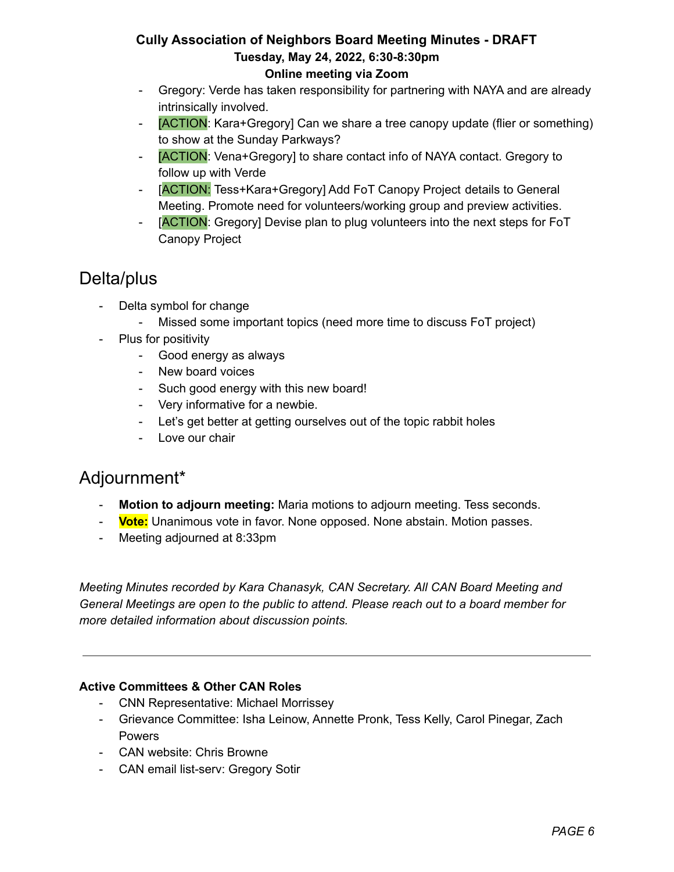- Gregory: Verde has taken responsibility for partnering with NAYA and are already intrinsically involved.
- [ACTION: Kara+Gregory] Can we share a tree canopy update (flier or something) to show at the Sunday Parkways?
- [ACTION: Vena+Gregory] to share contact info of NAYA contact. Gregory to follow up with Verde
- [ACTION: Tess+Kara+Gregory] Add FoT Canopy Project details to General Meeting. Promote need for volunteers/working group and preview activities.
- [ACTION: Gregory] Devise plan to plug volunteers into the next steps for FoT Canopy Project

## Delta/plus

- Delta symbol for change
	- Missed some important topics (need more time to discuss FoT project)
- Plus for positivity
	- Good energy as always
	- New board voices
	- Such good energy with this new board!
	- Very informative for a newbie.
	- Let's get better at getting ourselves out of the topic rabbit holes
	- Love our chair

## Adjournment\*

- **Motion to adjourn meeting:** Maria motions to adjourn meeting. Tess seconds.
- **Vote:** Unanimous vote in favor. None opposed. None abstain. Motion passes.
- Meeting adjourned at 8:33pm

*Meeting Minutes recorded by Kara Chanasyk, CAN Secretary. All CAN Board Meeting and General Meetings are open to the public to attend. Please reach out to a board member for more detailed information about discussion points.*

#### **Active Committees & Other CAN Roles**

- CNN Representative: Michael Morrissey
- Grievance Committee: Isha Leinow, Annette Pronk, Tess Kelly, Carol Pinegar, Zach Powers
- CAN website: Chris Browne
- CAN email list-serv: Gregory Sotir